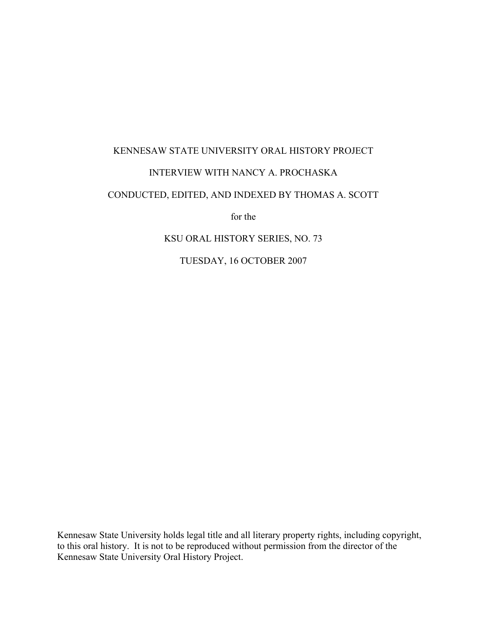# KENNESAW STATE UNIVERSITY ORAL HISTORY PROJECT INTERVIEW WITH NANCY A. PROCHASKA

## CONDUCTED, EDITED, AND INDEXED BY THOMAS A. SCOTT

for the

### KSU ORAL HISTORY SERIES, NO. 73

TUESDAY, 16 OCTOBER 2007

Kennesaw State University holds legal title and all literary property rights, including copyright, to this oral history. It is not to be reproduced without permission from the director of the Kennesaw State University Oral History Project.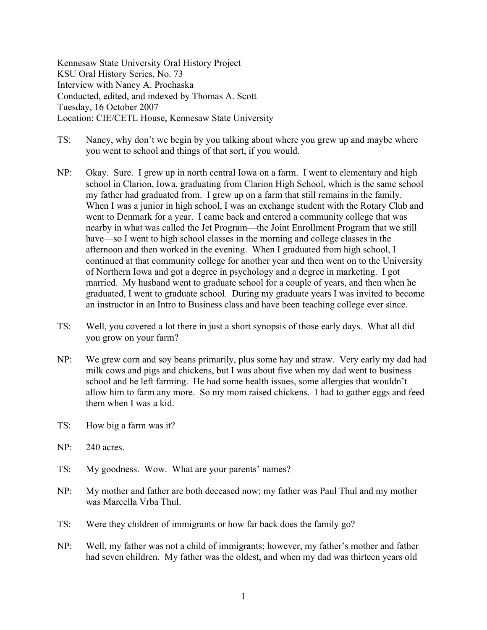Kennesaw State University Oral History Project KSU Oral History Series, No. 73 Interview with Nancy A. Prochaska Conducted, edited, and indexed by Thomas A. Scott Tuesday, 16 October 2007 Location: CIE/CETL House, Kennesaw State University

- TS: Nancy, why don't we begin by you talking about where you grew up and maybe where you went to school and things of that sort, if you would.
- NP: Okay. Sure. I grew up in north central Iowa on a farm. I went to elementary and high school in Clarion, Iowa, graduating from Clarion High School, which is the same school my father had graduated from. I grew up on a farm that still remains in the family. When I was a junior in high school, I was an exchange student with the Rotary Club and went to Denmark for a year. I came back and entered a community college that was nearby in what was called the Jet Program—the Joint Enrollment Program that we still have—so I went to high school classes in the morning and college classes in the afternoon and then worked in the evening. When I graduated from high school, I continued at that community college for another year and then went on to the University of Northern Iowa and got a degree in psychology and a degree in marketing. I got married. My husband went to graduate school for a couple of years, and then when he graduated, I went to graduate school. During my graduate years I was invited to become an instructor in an Intro to Business class and have been teaching college ever since.
- TS: Well, you covered a lot there in just a short synopsis of those early days. What all did you grow on your farm?
- NP: We grew corn and soy beans primarily, plus some hay and straw. Very early my dad had milk cows and pigs and chickens, but I was about five when my dad went to business school and he left farming. He had some health issues, some allergies that wouldn't allow him to farm any more. So my mom raised chickens. I had to gather eggs and feed them when I was a kid.
- TS: How big a farm was it?
- NP: 240 acres.
- TS: My goodness. Wow. What are your parents' names?
- NP: My mother and father are both deceased now; my father was Paul Thul and my mother was Marcella Vrba Thul.
- TS: Were they children of immigrants or how far back does the family go?
- NP: Well, my father was not a child of immigrants; however, my father's mother and father had seven children. My father was the oldest, and when my dad was thirteen years old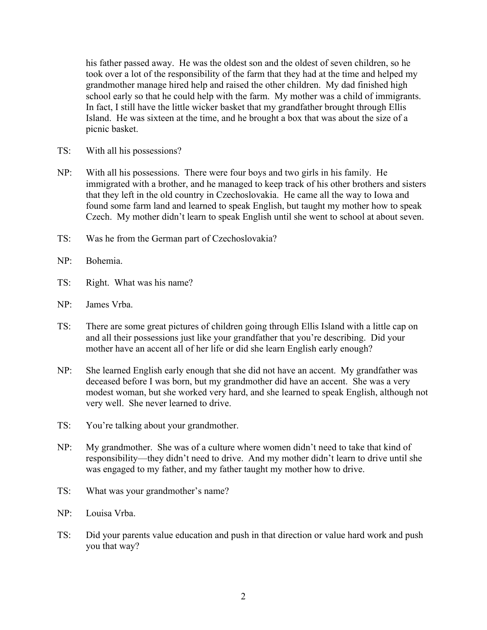his father passed away. He was the oldest son and the oldest of seven children, so he took over a lot of the responsibility of the farm that they had at the time and helped my grandmother manage hired help and raised the other children. My dad finished high school early so that he could help with the farm. My mother was a child of immigrants. In fact, I still have the little wicker basket that my grandfather brought through Ellis Island. He was sixteen at the time, and he brought a box that was about the size of a picnic basket.

- TS: With all his possessions?
- NP: With all his possessions. There were four boys and two girls in his family. He immigrated with a brother, and he managed to keep track of his other brothers and sisters that they left in the old country in Czechoslovakia. He came all the way to Iowa and found some farm land and learned to speak English, but taught my mother how to speak Czech. My mother didn't learn to speak English until she went to school at about seven.
- TS: Was he from the German part of Czechoslovakia?
- NP: Bohemia.
- TS: Right. What was his name?
- NP: James Vrba.
- TS: There are some great pictures of children going through Ellis Island with a little cap on and all their possessions just like your grandfather that you're describing. Did your mother have an accent all of her life or did she learn English early enough?
- NP: She learned English early enough that she did not have an accent. My grandfather was deceased before I was born, but my grandmother did have an accent. She was a very modest woman, but she worked very hard, and she learned to speak English, although not very well. She never learned to drive.
- TS: You're talking about your grandmother.
- NP: My grandmother. She was of a culture where women didn't need to take that kind of responsibility—they didn't need to drive. And my mother didn't learn to drive until she was engaged to my father, and my father taught my mother how to drive.
- TS: What was your grandmother's name?
- NP: Louisa Vrba.
- TS: Did your parents value education and push in that direction or value hard work and push you that way?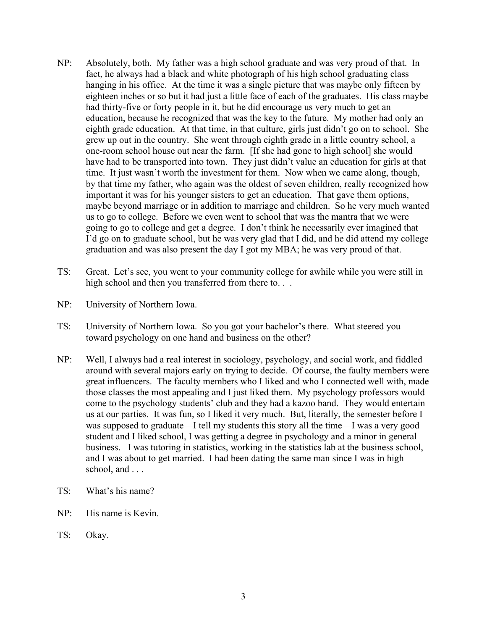- NP: Absolutely, both. My father was a high school graduate and was very proud of that. In fact, he always had a black and white photograph of his high school graduating class hanging in his office. At the time it was a single picture that was maybe only fifteen by eighteen inches or so but it had just a little face of each of the graduates. His class maybe had thirty-five or forty people in it, but he did encourage us very much to get an education, because he recognized that was the key to the future. My mother had only an eighth grade education. At that time, in that culture, girls just didn't go on to school. She grew up out in the country. She went through eighth grade in a little country school, a one-room school house out near the farm. [If she had gone to high school] she would have had to be transported into town. They just didn't value an education for girls at that time. It just wasn't worth the investment for them. Now when we came along, though, by that time my father, who again was the oldest of seven children, really recognized how important it was for his younger sisters to get an education. That gave them options, maybe beyond marriage or in addition to marriage and children. So he very much wanted us to go to college. Before we even went to school that was the mantra that we were going to go to college and get a degree. I don't think he necessarily ever imagined that I'd go on to graduate school, but he was very glad that I did, and he did attend my college graduation and was also present the day I got my MBA; he was very proud of that.
- TS: Great. Let's see, you went to your community college for awhile while you were still in high school and then you transferred from there to. . .
- NP: University of Northern Iowa.
- TS: University of Northern Iowa. So you got your bachelor's there. What steered you toward psychology on one hand and business on the other?
- NP: Well, I always had a real interest in sociology, psychology, and social work, and fiddled around with several majors early on trying to decide. Of course, the faulty members were great influencers. The faculty members who I liked and who I connected well with, made those classes the most appealing and I just liked them. My psychology professors would come to the psychology students' club and they had a kazoo band. They would entertain us at our parties. It was fun, so I liked it very much. But, literally, the semester before I was supposed to graduate—I tell my students this story all the time—I was a very good student and I liked school, I was getting a degree in psychology and a minor in general business. I was tutoring in statistics, working in the statistics lab at the business school, and I was about to get married. I had been dating the same man since I was in high school, and . . .
- TS: What's his name?
- NP: His name is Kevin.
- TS: Okay.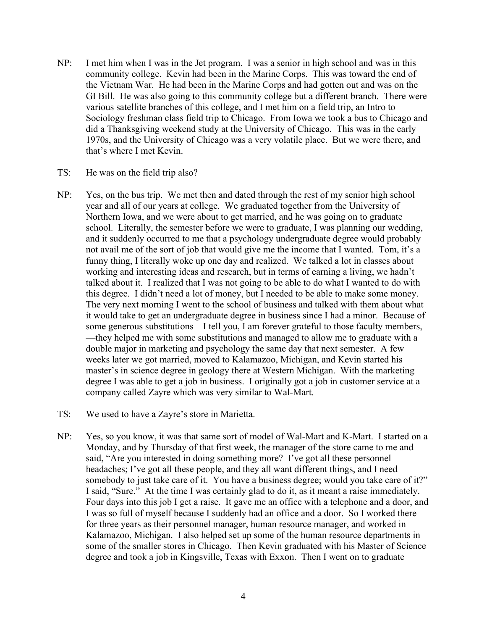- NP: I met him when I was in the Jet program. I was a senior in high school and was in this community college. Kevin had been in the Marine Corps. This was toward the end of the Vietnam War. He had been in the Marine Corps and had gotten out and was on the GI Bill. He was also going to this community college but a different branch. There were various satellite branches of this college, and I met him on a field trip, an Intro to Sociology freshman class field trip to Chicago. From Iowa we took a bus to Chicago and did a Thanksgiving weekend study at the University of Chicago. This was in the early 1970s, and the University of Chicago was a very volatile place. But we were there, and that's where I met Kevin.
- TS: He was on the field trip also?
- NP: Yes, on the bus trip. We met then and dated through the rest of my senior high school year and all of our years at college. We graduated together from the University of Northern Iowa, and we were about to get married, and he was going on to graduate school. Literally, the semester before we were to graduate, I was planning our wedding, and it suddenly occurred to me that a psychology undergraduate degree would probably not avail me of the sort of job that would give me the income that I wanted. Tom, it's a funny thing, I literally woke up one day and realized. We talked a lot in classes about working and interesting ideas and research, but in terms of earning a living, we hadn't talked about it. I realized that I was not going to be able to do what I wanted to do with this degree. I didn't need a lot of money, but I needed to be able to make some money. The very next morning I went to the school of business and talked with them about what it would take to get an undergraduate degree in business since I had a minor. Because of some generous substitutions—I tell you, I am forever grateful to those faculty members, —they helped me with some substitutions and managed to allow me to graduate with a double major in marketing and psychology the same day that next semester. A few weeks later we got married, moved to Kalamazoo, Michigan, and Kevin started his master's in science degree in geology there at Western Michigan. With the marketing degree I was able to get a job in business. I originally got a job in customer service at a company called Zayre which was very similar to Wal-Mart.
- TS: We used to have a Zayre's store in Marietta.
- NP: Yes, so you know, it was that same sort of model of Wal-Mart and K-Mart. I started on a Monday, and by Thursday of that first week, the manager of the store came to me and said, "Are you interested in doing something more? I've got all these personnel headaches; I've got all these people, and they all want different things, and I need somebody to just take care of it. You have a business degree; would you take care of it?" I said, "Sure." At the time I was certainly glad to do it, as it meant a raise immediately. Four days into this job I get a raise. It gave me an office with a telephone and a door, and I was so full of myself because I suddenly had an office and a door. So I worked there for three years as their personnel manager, human resource manager, and worked in Kalamazoo, Michigan. I also helped set up some of the human resource departments in some of the smaller stores in Chicago. Then Kevin graduated with his Master of Science degree and took a job in Kingsville, Texas with Exxon. Then I went on to graduate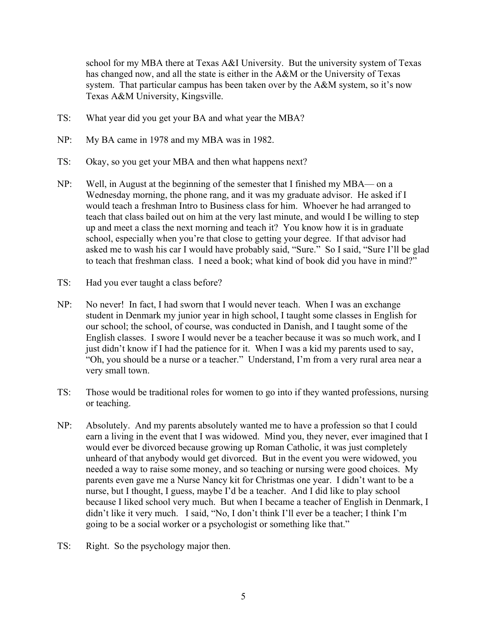school for my MBA there at Texas A&I University. But the university system of Texas has changed now, and all the state is either in the A&M or the University of Texas system. That particular campus has been taken over by the A&M system, so it's now Texas A&M University, Kingsville.

- TS: What year did you get your BA and what year the MBA?
- NP: My BA came in 1978 and my MBA was in 1982.
- TS: Okay, so you get your MBA and then what happens next?
- NP: Well, in August at the beginning of the semester that I finished my MBA— on a Wednesday morning, the phone rang, and it was my graduate advisor. He asked if I would teach a freshman Intro to Business class for him. Whoever he had arranged to teach that class bailed out on him at the very last minute, and would I be willing to step up and meet a class the next morning and teach it? You know how it is in graduate school, especially when you're that close to getting your degree. If that advisor had asked me to wash his car I would have probably said, "Sure." So I said, "Sure I'll be glad to teach that freshman class. I need a book; what kind of book did you have in mind?"
- TS: Had you ever taught a class before?
- NP: No never! In fact, I had sworn that I would never teach. When I was an exchange student in Denmark my junior year in high school, I taught some classes in English for our school; the school, of course, was conducted in Danish, and I taught some of the English classes. I swore I would never be a teacher because it was so much work, and I just didn't know if I had the patience for it. When I was a kid my parents used to say, "Oh, you should be a nurse or a teacher." Understand, I'm from a very rural area near a very small town.
- TS: Those would be traditional roles for women to go into if they wanted professions, nursing or teaching.
- NP: Absolutely. And my parents absolutely wanted me to have a profession so that I could earn a living in the event that I was widowed. Mind you, they never, ever imagined that I would ever be divorced because growing up Roman Catholic, it was just completely unheard of that anybody would get divorced. But in the event you were widowed, you needed a way to raise some money, and so teaching or nursing were good choices. My parents even gave me a Nurse Nancy kit for Christmas one year. I didn't want to be a nurse, but I thought, I guess, maybe I'd be a teacher. And I did like to play school because I liked school very much. But when I became a teacher of English in Denmark, I didn't like it very much. I said, "No, I don't think I'll ever be a teacher; I think I'm going to be a social worker or a psychologist or something like that."
- TS: Right. So the psychology major then.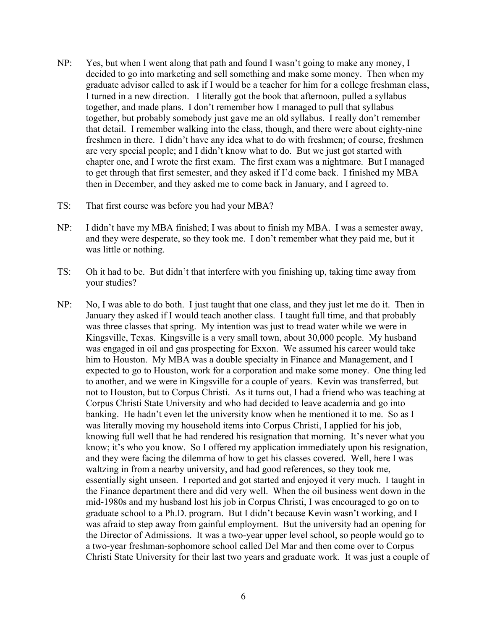- NP: Yes, but when I went along that path and found I wasn't going to make any money, I decided to go into marketing and sell something and make some money. Then when my graduate advisor called to ask if I would be a teacher for him for a college freshman class, I turned in a new direction. I literally got the book that afternoon, pulled a syllabus together, and made plans. I don't remember how I managed to pull that syllabus together, but probably somebody just gave me an old syllabus. I really don't remember that detail. I remember walking into the class, though, and there were about eighty-nine freshmen in there. I didn't have any idea what to do with freshmen; of course, freshmen are very special people; and I didn't know what to do. But we just got started with chapter one, and I wrote the first exam. The first exam was a nightmare. But I managed to get through that first semester, and they asked if I'd come back. I finished my MBA then in December, and they asked me to come back in January, and I agreed to.
- TS: That first course was before you had your MBA?
- NP: I didn't have my MBA finished; I was about to finish my MBA. I was a semester away, and they were desperate, so they took me. I don't remember what they paid me, but it was little or nothing.
- TS: Oh it had to be. But didn't that interfere with you finishing up, taking time away from your studies?
- NP: No, I was able to do both. I just taught that one class, and they just let me do it. Then in January they asked if I would teach another class. I taught full time, and that probably was three classes that spring. My intention was just to tread water while we were in Kingsville, Texas. Kingsville is a very small town, about 30,000 people. My husband was engaged in oil and gas prospecting for Exxon. We assumed his career would take him to Houston. My MBA was a double specialty in Finance and Management, and I expected to go to Houston, work for a corporation and make some money. One thing led to another, and we were in Kingsville for a couple of years. Kevin was transferred, but not to Houston, but to Corpus Christi. As it turns out, I had a friend who was teaching at Corpus Christi State University and who had decided to leave academia and go into banking. He hadn't even let the university know when he mentioned it to me. So as I was literally moving my household items into Corpus Christi, I applied for his job, knowing full well that he had rendered his resignation that morning. It's never what you know; it's who you know. So I offered my application immediately upon his resignation, and they were facing the dilemma of how to get his classes covered. Well, here I was waltzing in from a nearby university, and had good references, so they took me, essentially sight unseen. I reported and got started and enjoyed it very much. I taught in the Finance department there and did very well. When the oil business went down in the mid-1980s and my husband lost his job in Corpus Christi, I was encouraged to go on to graduate school to a Ph.D. program. But I didn't because Kevin wasn't working, and I was afraid to step away from gainful employment. But the university had an opening for the Director of Admissions. It was a two-year upper level school, so people would go to a two-year freshman-sophomore school called Del Mar and then come over to Corpus Christi State University for their last two years and graduate work. It was just a couple of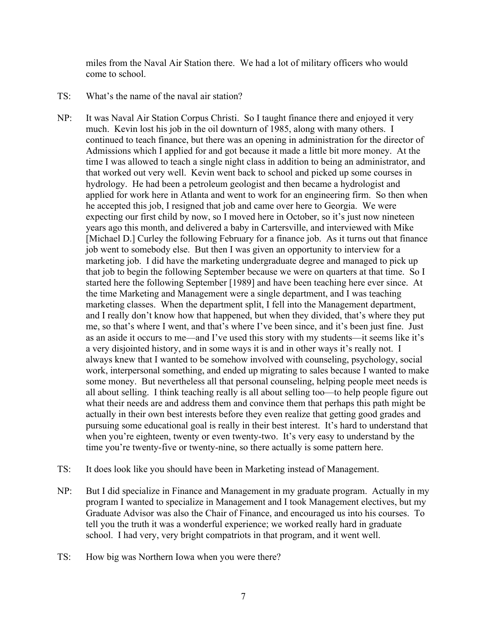miles from the Naval Air Station there. We had a lot of military officers who would come to school.

- TS: What's the name of the naval air station?
- NP: It was Naval Air Station Corpus Christi. So I taught finance there and enjoyed it very much. Kevin lost his job in the oil downturn of 1985, along with many others. I continued to teach finance, but there was an opening in administration for the director of Admissions which I applied for and got because it made a little bit more money. At the time I was allowed to teach a single night class in addition to being an administrator, and that worked out very well. Kevin went back to school and picked up some courses in hydrology. He had been a petroleum geologist and then became a hydrologist and applied for work here in Atlanta and went to work for an engineering firm. So then when he accepted this job, I resigned that job and came over here to Georgia. We were expecting our first child by now, so I moved here in October, so it's just now nineteen years ago this month, and delivered a baby in Cartersville, and interviewed with Mike [Michael D.] Curley the following February for a finance job. As it turns out that finance job went to somebody else. But then I was given an opportunity to interview for a marketing job. I did have the marketing undergraduate degree and managed to pick up that job to begin the following September because we were on quarters at that time. So I started here the following September [1989] and have been teaching here ever since. At the time Marketing and Management were a single department, and I was teaching marketing classes. When the department split, I fell into the Management department, and I really don't know how that happened, but when they divided, that's where they put me, so that's where I went, and that's where I've been since, and it's been just fine. Just as an aside it occurs to me—and I've used this story with my students—it seems like it's a very disjointed history, and in some ways it is and in other ways it's really not. I always knew that I wanted to be somehow involved with counseling, psychology, social work, interpersonal something, and ended up migrating to sales because I wanted to make some money. But nevertheless all that personal counseling, helping people meet needs is all about selling. I think teaching really is all about selling too—to help people figure out what their needs are and address them and convince them that perhaps this path might be actually in their own best interests before they even realize that getting good grades and pursuing some educational goal is really in their best interest. It's hard to understand that when you're eighteen, twenty or even twenty-two. It's very easy to understand by the time you're twenty-five or twenty-nine, so there actually is some pattern here.
- TS: It does look like you should have been in Marketing instead of Management.
- NP: But I did specialize in Finance and Management in my graduate program. Actually in my program I wanted to specialize in Management and I took Management electives, but my Graduate Advisor was also the Chair of Finance, and encouraged us into his courses. To tell you the truth it was a wonderful experience; we worked really hard in graduate school. I had very, very bright compatriots in that program, and it went well.
- TS: How big was Northern Iowa when you were there?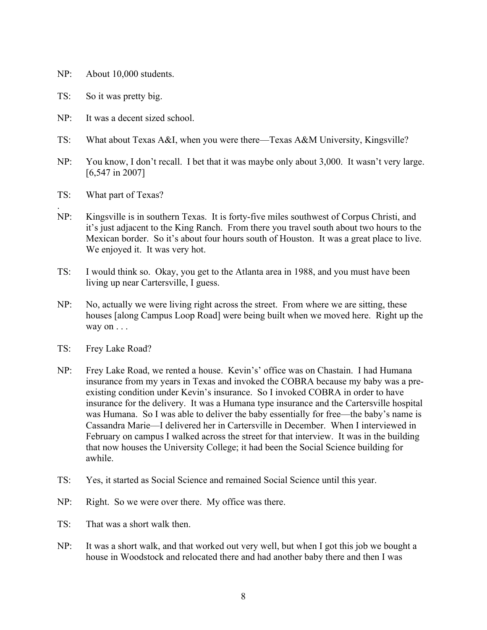- NP: About 10,000 students.
- TS: So it was pretty big.
- NP: It was a decent sized school.
- TS: What about Texas A&I, when you were there—Texas A&M University, Kingsville?
- NP: You know, I don't recall. I bet that it was maybe only about 3,000. It wasn't very large. [6,547 in 2007]
- TS: What part of Texas?

.

- NP: Kingsville is in southern Texas. It is forty-five miles southwest of Corpus Christi, and it's just adjacent to the King Ranch. From there you travel south about two hours to the Mexican border. So it's about four hours south of Houston. It was a great place to live. We enjoyed it. It was very hot.
- TS: I would think so. Okay, you get to the Atlanta area in 1988, and you must have been living up near Cartersville, I guess.
- NP: No, actually we were living right across the street. From where we are sitting, these houses [along Campus Loop Road] were being built when we moved here. Right up the way on . . .
- TS: Frey Lake Road?
- NP: Frey Lake Road, we rented a house. Kevin's' office was on Chastain. I had Humana insurance from my years in Texas and invoked the COBRA because my baby was a preexisting condition under Kevin's insurance. So I invoked COBRA in order to have insurance for the delivery. It was a Humana type insurance and the Cartersville hospital was Humana. So I was able to deliver the baby essentially for free—the baby's name is Cassandra Marie—I delivered her in Cartersville in December. When I interviewed in February on campus I walked across the street for that interview. It was in the building that now houses the University College; it had been the Social Science building for awhile.
- TS: Yes, it started as Social Science and remained Social Science until this year.
- NP: Right. So we were over there. My office was there.
- TS: That was a short walk then.
- NP: It was a short walk, and that worked out very well, but when I got this job we bought a house in Woodstock and relocated there and had another baby there and then I was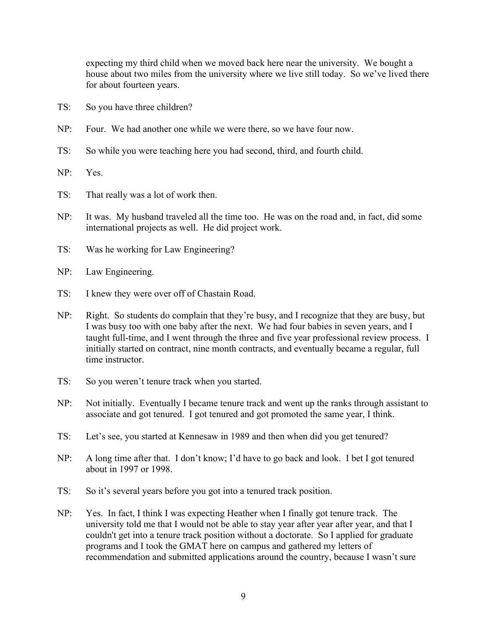expecting my third child when we moved back here near the university. We bought a house about two miles from the university where we live still today. So we've lived there for about fourteen years.

- TS: So you have three children?
- NP: Four. We had another one while we were there, so we have four now.
- TS: So while you were teaching here you had second, third, and fourth child.
- NP: Yes.
- TS: That really was a lot of work then.
- NP: It was. My husband traveled all the time too. He was on the road and, in fact, did some international projects as well. He did project work.
- TS: Was he working for Law Engineering?
- NP: Law Engineering.
- TS: I knew they were over off of Chastain Road.
- NP: Right. So students do complain that they're busy, and I recognize that they are busy, but I was busy too with one baby after the next. We had four babies in seven years, and I taught full-time, and I went through the three and five year professional review process. I initially started on contract, nine month contracts, and eventually became a regular, full time instructor.
- TS: So you weren't tenure track when you started.
- NP: Not initially. Eventually I became tenure track and went up the ranks through assistant to associate and got tenured. I got tenured and got promoted the same year, I think.
- TS: Let's see, you started at Kennesaw in 1989 and then when did you get tenured?
- NP: A long time after that. I don't know; I'd have to go back and look. I bet I got tenured about in 1997 or 1998.
- TS: So it's several years before you got into a tenured track position.
- NP: Yes. In fact, I think I was expecting Heather when I finally got tenure track. The university told me that I would not be able to stay year after year after year, and that I couldn't get into a tenure track position without a doctorate. So I applied for graduate programs and I took the GMAT here on campus and gathered my letters of recommendation and submitted applications around the country, because I wasn't sure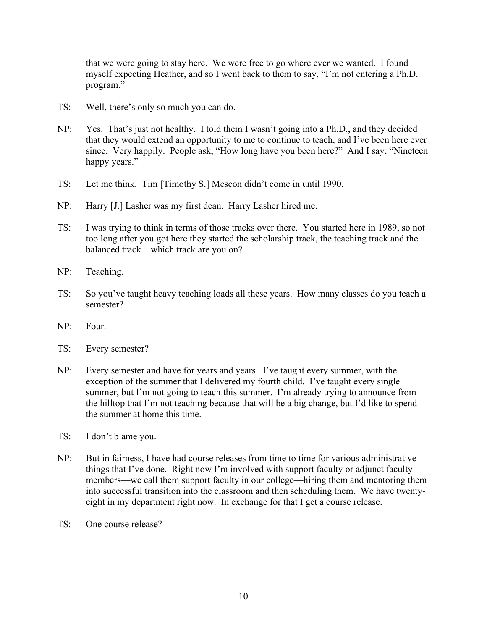that we were going to stay here. We were free to go where ever we wanted. I found myself expecting Heather, and so I went back to them to say, "I'm not entering a Ph.D. program."

- TS: Well, there's only so much you can do.
- NP: Yes. That's just not healthy. I told them I wasn't going into a Ph.D., and they decided that they would extend an opportunity to me to continue to teach, and I've been here ever since. Very happily. People ask, "How long have you been here?" And I say, "Nineteen happy years."
- TS: Let me think. Tim [Timothy S.] Mescon didn't come in until 1990.
- NP: Harry [J.] Lasher was my first dean. Harry Lasher hired me.
- TS: I was trying to think in terms of those tracks over there. You started here in 1989, so not too long after you got here they started the scholarship track, the teaching track and the balanced track—which track are you on?
- NP: Teaching.
- TS: So you've taught heavy teaching loads all these years. How many classes do you teach a semester?
- NP: Four.
- TS: Every semester?
- NP: Every semester and have for years and years. I've taught every summer, with the exception of the summer that I delivered my fourth child. I've taught every single summer, but I'm not going to teach this summer. I'm already trying to announce from the hilltop that I'm not teaching because that will be a big change, but I'd like to spend the summer at home this time.
- TS: I don't blame you.
- NP: But in fairness, I have had course releases from time to time for various administrative things that I've done. Right now I'm involved with support faculty or adjunct faculty members—we call them support faculty in our college—hiring them and mentoring them into successful transition into the classroom and then scheduling them. We have twentyeight in my department right now. In exchange for that I get a course release.
- TS: One course release?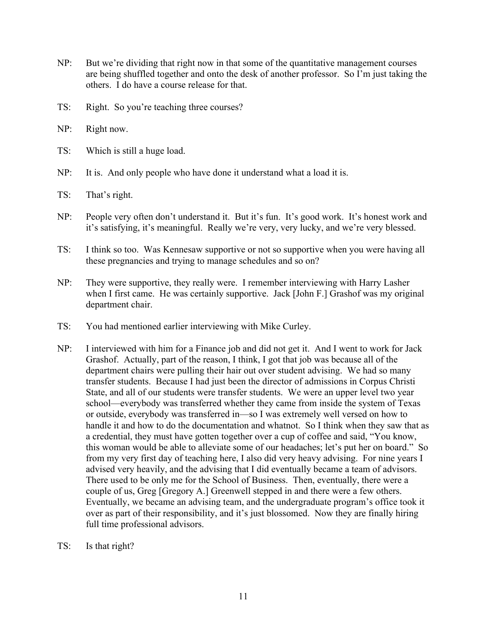- NP: But we're dividing that right now in that some of the quantitative management courses are being shuffled together and onto the desk of another professor. So I'm just taking the others. I do have a course release for that.
- TS: Right. So you're teaching three courses?
- NP: Right now.
- TS: Which is still a huge load.
- NP: It is. And only people who have done it understand what a load it is.
- TS: That's right.
- NP: People very often don't understand it. But it's fun. It's good work. It's honest work and it's satisfying, it's meaningful. Really we're very, very lucky, and we're very blessed.
- TS: I think so too. Was Kennesaw supportive or not so supportive when you were having all these pregnancies and trying to manage schedules and so on?
- NP: They were supportive, they really were. I remember interviewing with Harry Lasher when I first came. He was certainly supportive. Jack [John F.] Grashof was my original department chair.
- TS: You had mentioned earlier interviewing with Mike Curley.
- NP: I interviewed with him for a Finance job and did not get it. And I went to work for Jack Grashof. Actually, part of the reason, I think, I got that job was because all of the department chairs were pulling their hair out over student advising. We had so many transfer students. Because I had just been the director of admissions in Corpus Christi State, and all of our students were transfer students. We were an upper level two year school—everybody was transferred whether they came from inside the system of Texas or outside, everybody was transferred in—so I was extremely well versed on how to handle it and how to do the documentation and whatnot. So I think when they saw that as a credential, they must have gotten together over a cup of coffee and said, "You know, this woman would be able to alleviate some of our headaches; let's put her on board." So from my very first day of teaching here, I also did very heavy advising. For nine years I advised very heavily, and the advising that I did eventually became a team of advisors. There used to be only me for the School of Business. Then, eventually, there were a couple of us, Greg [Gregory A.] Greenwell stepped in and there were a few others. Eventually, we became an advising team, and the undergraduate program's office took it over as part of their responsibility, and it's just blossomed. Now they are finally hiring full time professional advisors.
- TS: Is that right?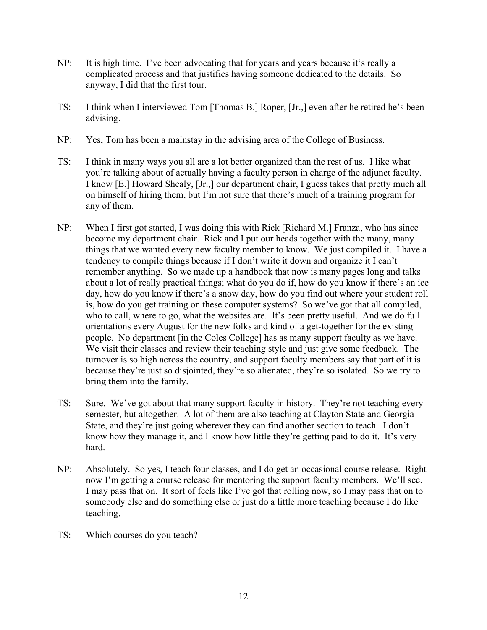- NP: It is high time. I've been advocating that for years and years because it's really a complicated process and that justifies having someone dedicated to the details. So anyway, I did that the first tour.
- TS: I think when I interviewed Tom [Thomas B.] Roper, [Jr.,] even after he retired he's been advising.
- NP: Yes, Tom has been a mainstay in the advising area of the College of Business.
- TS: I think in many ways you all are a lot better organized than the rest of us. I like what you're talking about of actually having a faculty person in charge of the adjunct faculty. I know [E.] Howard Shealy, [Jr.,] our department chair, I guess takes that pretty much all on himself of hiring them, but I'm not sure that there's much of a training program for any of them.
- NP: When I first got started, I was doing this with Rick [Richard M.] Franza, who has since become my department chair. Rick and I put our heads together with the many, many things that we wanted every new faculty member to know. We just compiled it. I have a tendency to compile things because if I don't write it down and organize it I can't remember anything. So we made up a handbook that now is many pages long and talks about a lot of really practical things; what do you do if, how do you know if there's an ice day, how do you know if there's a snow day, how do you find out where your student roll is, how do you get training on these computer systems? So we've got that all compiled, who to call, where to go, what the websites are. It's been pretty useful. And we do full orientations every August for the new folks and kind of a get-together for the existing people. No department [in the Coles College] has as many support faculty as we have. We visit their classes and review their teaching style and just give some feedback. The turnover is so high across the country, and support faculty members say that part of it is because they're just so disjointed, they're so alienated, they're so isolated. So we try to bring them into the family.
- TS: Sure. We've got about that many support faculty in history. They're not teaching every semester, but altogether. A lot of them are also teaching at Clayton State and Georgia State, and they're just going wherever they can find another section to teach. I don't know how they manage it, and I know how little they're getting paid to do it. It's very hard.
- NP: Absolutely. So yes, I teach four classes, and I do get an occasional course release. Right now I'm getting a course release for mentoring the support faculty members. We'll see. I may pass that on. It sort of feels like I've got that rolling now, so I may pass that on to somebody else and do something else or just do a little more teaching because I do like teaching.
- TS: Which courses do you teach?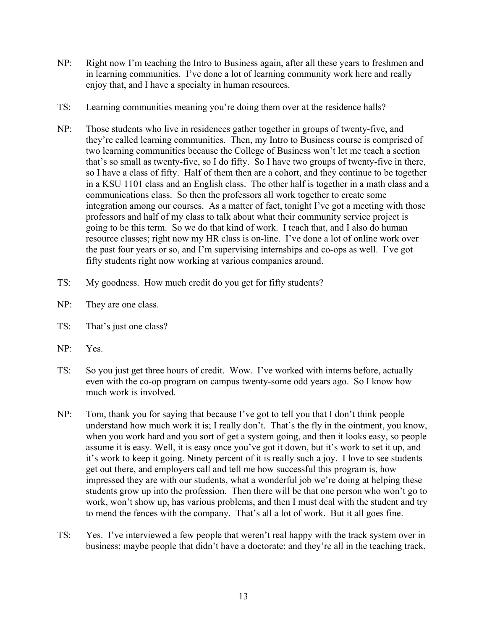- NP: Right now I'm teaching the Intro to Business again, after all these years to freshmen and in learning communities. I've done a lot of learning community work here and really enjoy that, and I have a specialty in human resources.
- TS: Learning communities meaning you're doing them over at the residence halls?
- NP: Those students who live in residences gather together in groups of twenty-five, and they're called learning communities. Then, my Intro to Business course is comprised of two learning communities because the College of Business won't let me teach a section that's so small as twenty-five, so I do fifty. So I have two groups of twenty-five in there, so I have a class of fifty. Half of them then are a cohort, and they continue to be together in a KSU 1101 class and an English class. The other half is together in a math class and a communications class. So then the professors all work together to create some integration among our courses. As a matter of fact, tonight I've got a meeting with those professors and half of my class to talk about what their community service project is going to be this term. So we do that kind of work. I teach that, and I also do human resource classes; right now my HR class is on-line. I've done a lot of online work over the past four years or so, and I'm supervising internships and co-ops as well. I've got fifty students right now working at various companies around.
- TS: My goodness. How much credit do you get for fifty students?
- NP: They are one class.
- TS: That's just one class?
- NP: Yes.
- TS: So you just get three hours of credit. Wow. I've worked with interns before, actually even with the co-op program on campus twenty-some odd years ago. So I know how much work is involved.
- NP: Tom, thank you for saying that because I've got to tell you that I don't think people understand how much work it is; I really don't. That's the fly in the ointment, you know, when you work hard and you sort of get a system going, and then it looks easy, so people assume it is easy. Well, it is easy once you've got it down, but it's work to set it up, and it's work to keep it going. Ninety percent of it is really such a joy. I love to see students get out there, and employers call and tell me how successful this program is, how impressed they are with our students, what a wonderful job we're doing at helping these students grow up into the profession. Then there will be that one person who won't go to work, won't show up, has various problems, and then I must deal with the student and try to mend the fences with the company. That's all a lot of work. But it all goes fine.
- TS: Yes. I've interviewed a few people that weren't real happy with the track system over in business; maybe people that didn't have a doctorate; and they're all in the teaching track,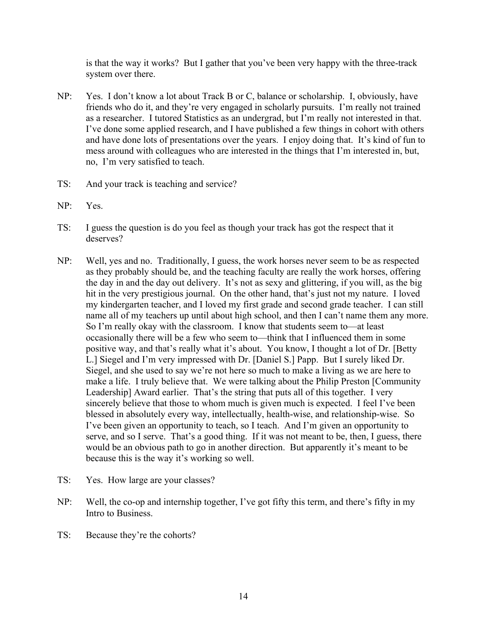is that the way it works? But I gather that you've been very happy with the three-track system over there.

- NP: Yes. I don't know a lot about Track B or C, balance or scholarship. I, obviously, have friends who do it, and they're very engaged in scholarly pursuits. I'm really not trained as a researcher. I tutored Statistics as an undergrad, but I'm really not interested in that. I've done some applied research, and I have published a few things in cohort with others and have done lots of presentations over the years. I enjoy doing that. It's kind of fun to mess around with colleagues who are interested in the things that I'm interested in, but, no, I'm very satisfied to teach.
- TS: And your track is teaching and service?
- NP: Yes.
- TS: I guess the question is do you feel as though your track has got the respect that it deserves?
- NP: Well, yes and no. Traditionally, I guess, the work horses never seem to be as respected as they probably should be, and the teaching faculty are really the work horses, offering the day in and the day out delivery. It's not as sexy and glittering, if you will, as the big hit in the very prestigious journal. On the other hand, that's just not my nature. I loved my kindergarten teacher, and I loved my first grade and second grade teacher. I can still name all of my teachers up until about high school, and then I can't name them any more. So I'm really okay with the classroom. I know that students seem to—at least occasionally there will be a few who seem to—think that I influenced them in some positive way, and that's really what it's about. You know, I thought a lot of Dr. [Betty L.] Siegel and I'm very impressed with Dr. [Daniel S.] Papp. But I surely liked Dr. Siegel, and she used to say we're not here so much to make a living as we are here to make a life. I truly believe that. We were talking about the Philip Preston [Community Leadership] Award earlier. That's the string that puts all of this together. I very sincerely believe that those to whom much is given much is expected. I feel I've been blessed in absolutely every way, intellectually, health-wise, and relationship-wise. So I've been given an opportunity to teach, so I teach. And I'm given an opportunity to serve, and so I serve. That's a good thing. If it was not meant to be, then, I guess, there would be an obvious path to go in another direction. But apparently it's meant to be because this is the way it's working so well.
- TS: Yes. How large are your classes?
- NP: Well, the co-op and internship together, I've got fifty this term, and there's fifty in my Intro to Business.
- TS: Because they're the cohorts?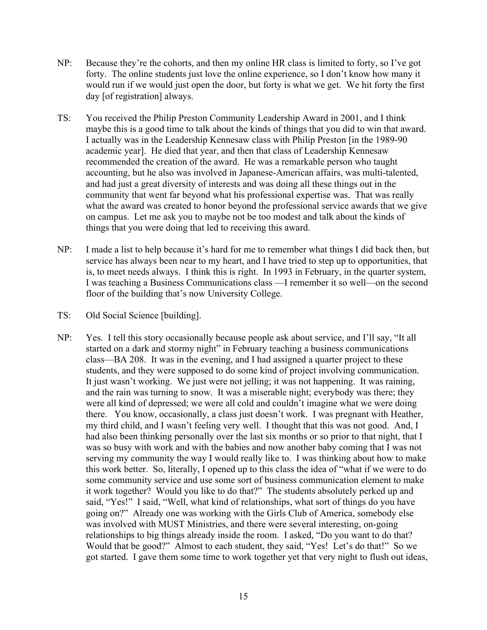- NP: Because they're the cohorts, and then my online HR class is limited to forty, so I've got forty. The online students just love the online experience, so I don't know how many it would run if we would just open the door, but forty is what we get. We hit forty the first day [of registration] always.
- TS: You received the Philip Preston Community Leadership Award in 2001, and I think maybe this is a good time to talk about the kinds of things that you did to win that award. I actually was in the Leadership Kennesaw class with Philip Preston [in the 1989-90 academic year]. He died that year, and then that class of Leadership Kennesaw recommended the creation of the award. He was a remarkable person who taught accounting, but he also was involved in Japanese-American affairs, was multi-talented, and had just a great diversity of interests and was doing all these things out in the community that went far beyond what his professional expertise was. That was really what the award was created to honor beyond the professional service awards that we give on campus. Let me ask you to maybe not be too modest and talk about the kinds of things that you were doing that led to receiving this award.
- NP: I made a list to help because it's hard for me to remember what things I did back then, but service has always been near to my heart, and I have tried to step up to opportunities, that is, to meet needs always. I think this is right. In 1993 in February, in the quarter system, I was teaching a Business Communications class —I remember it so well—on the second floor of the building that's now University College.
- TS: Old Social Science [building].
- NP: Yes. I tell this story occasionally because people ask about service, and I'll say, "It all started on a dark and stormy night" in February teaching a business communications class—BA 208. It was in the evening, and I had assigned a quarter project to these students, and they were supposed to do some kind of project involving communication. It just wasn't working. We just were not jelling; it was not happening. It was raining, and the rain was turning to snow. It was a miserable night; everybody was there; they were all kind of depressed; we were all cold and couldn't imagine what we were doing there. You know, occasionally, a class just doesn't work. I was pregnant with Heather, my third child, and I wasn't feeling very well. I thought that this was not good. And, I had also been thinking personally over the last six months or so prior to that night, that I was so busy with work and with the babies and now another baby coming that I was not serving my community the way I would really like to. I was thinking about how to make this work better. So, literally, I opened up to this class the idea of "what if we were to do some community service and use some sort of business communication element to make it work together? Would you like to do that?" The students absolutely perked up and said, "Yes!" I said, "Well, what kind of relationships, what sort of things do you have going on?" Already one was working with the Girls Club of America, somebody else was involved with MUST Ministries, and there were several interesting, on-going relationships to big things already inside the room. I asked, "Do you want to do that? Would that be good?" Almost to each student, they said, "Yes! Let's do that!" So we got started. I gave them some time to work together yet that very night to flush out ideas,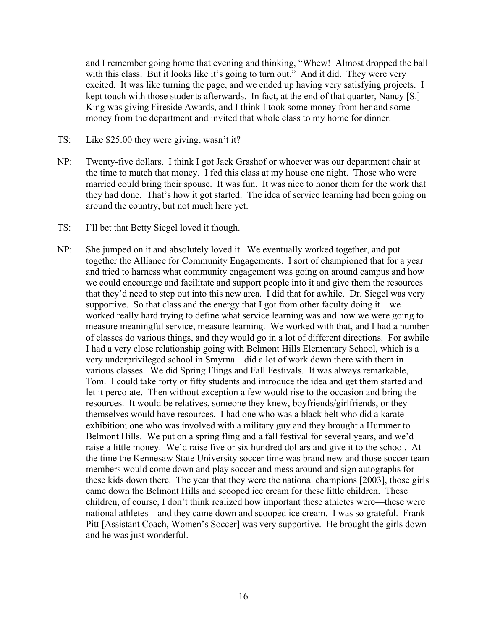and I remember going home that evening and thinking, "Whew! Almost dropped the ball with this class. But it looks like it's going to turn out." And it did. They were very excited. It was like turning the page, and we ended up having very satisfying projects. I kept touch with those students afterwards. In fact, at the end of that quarter, Nancy [S.] King was giving Fireside Awards, and I think I took some money from her and some money from the department and invited that whole class to my home for dinner.

- TS: Like \$25.00 they were giving, wasn't it?
- NP: Twenty-five dollars. I think I got Jack Grashof or whoever was our department chair at the time to match that money. I fed this class at my house one night. Those who were married could bring their spouse. It was fun. It was nice to honor them for the work that they had done. That's how it got started. The idea of service learning had been going on around the country, but not much here yet.
- TS: I'll bet that Betty Siegel loved it though.
- NP: She jumped on it and absolutely loved it. We eventually worked together, and put together the Alliance for Community Engagements. I sort of championed that for a year and tried to harness what community engagement was going on around campus and how we could encourage and facilitate and support people into it and give them the resources that they'd need to step out into this new area. I did that for awhile. Dr. Siegel was very supportive. So that class and the energy that I got from other faculty doing it—we worked really hard trying to define what service learning was and how we were going to measure meaningful service, measure learning. We worked with that, and I had a number of classes do various things, and they would go in a lot of different directions. For awhile I had a very close relationship going with Belmont Hills Elementary School, which is a very underprivileged school in Smyrna—did a lot of work down there with them in various classes. We did Spring Flings and Fall Festivals. It was always remarkable, Tom. I could take forty or fifty students and introduce the idea and get them started and let it percolate. Then without exception a few would rise to the occasion and bring the resources. It would be relatives, someone they knew, boyfriends/girlfriends, or they themselves would have resources. I had one who was a black belt who did a karate exhibition; one who was involved with a military guy and they brought a Hummer to Belmont Hills. We put on a spring fling and a fall festival for several years, and we'd raise a little money. We'd raise five or six hundred dollars and give it to the school. At the time the Kennesaw State University soccer time was brand new and those soccer team members would come down and play soccer and mess around and sign autographs for these kids down there. The year that they were the national champions [2003], those girls came down the Belmont Hills and scooped ice cream for these little children. These children, of course, I don't think realized how important these athletes were—these were national athletes—and they came down and scooped ice cream. I was so grateful. Frank Pitt [Assistant Coach, Women's Soccer] was very supportive. He brought the girls down and he was just wonderful.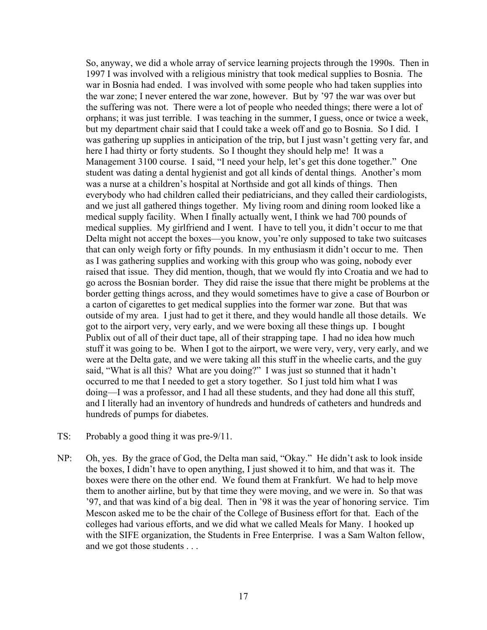So, anyway, we did a whole array of service learning projects through the 1990s. Then in 1997 I was involved with a religious ministry that took medical supplies to Bosnia. The war in Bosnia had ended. I was involved with some people who had taken supplies into the war zone; I never entered the war zone, however. But by '97 the war was over but the suffering was not. There were a lot of people who needed things; there were a lot of orphans; it was just terrible. I was teaching in the summer, I guess, once or twice a week, but my department chair said that I could take a week off and go to Bosnia. So I did. I was gathering up supplies in anticipation of the trip, but I just wasn't getting very far, and here I had thirty or forty students. So I thought they should help me! It was a Management 3100 course. I said, "I need your help, let's get this done together." One student was dating a dental hygienist and got all kinds of dental things. Another's mom was a nurse at a children's hospital at Northside and got all kinds of things. Then everybody who had children called their pediatricians, and they called their cardiologists, and we just all gathered things together. My living room and dining room looked like a medical supply facility. When I finally actually went, I think we had 700 pounds of medical supplies. My girlfriend and I went. I have to tell you, it didn't occur to me that Delta might not accept the boxes—you know, you're only supposed to take two suitcases that can only weigh forty or fifty pounds. In my enthusiasm it didn't occur to me. Then as I was gathering supplies and working with this group who was going, nobody ever raised that issue. They did mention, though, that we would fly into Croatia and we had to go across the Bosnian border. They did raise the issue that there might be problems at the border getting things across, and they would sometimes have to give a case of Bourbon or a carton of cigarettes to get medical supplies into the former war zone. But that was outside of my area. I just had to get it there, and they would handle all those details. We got to the airport very, very early, and we were boxing all these things up. I bought Publix out of all of their duct tape, all of their strapping tape. I had no idea how much stuff it was going to be. When I got to the airport, we were very, very, very early, and we were at the Delta gate, and we were taking all this stuff in the wheelie carts, and the guy said, "What is all this? What are you doing?" I was just so stunned that it hadn't occurred to me that I needed to get a story together. So I just told him what I was doing—I was a professor, and I had all these students, and they had done all this stuff, and I literally had an inventory of hundreds and hundreds of catheters and hundreds and hundreds of pumps for diabetes.

- TS: Probably a good thing it was pre-9/11.
- NP: Oh, yes. By the grace of God, the Delta man said, "Okay." He didn't ask to look inside the boxes, I didn't have to open anything, I just showed it to him, and that was it. The boxes were there on the other end. We found them at Frankfurt. We had to help move them to another airline, but by that time they were moving, and we were in. So that was '97, and that was kind of a big deal. Then in '98 it was the year of honoring service. Tim Mescon asked me to be the chair of the College of Business effort for that. Each of the colleges had various efforts, and we did what we called Meals for Many. I hooked up with the SIFE organization, the Students in Free Enterprise. I was a Sam Walton fellow, and we got those students . . .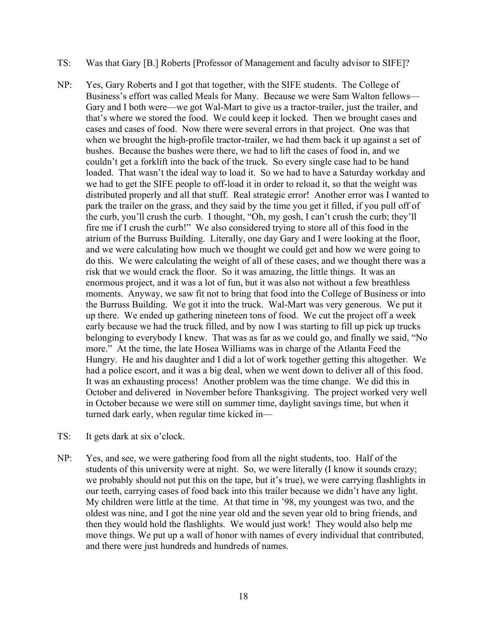- TS: Was that Gary [B.] Roberts [Professor of Management and faculty advisor to SIFE]?
- NP: Yes, Gary Roberts and I got that together, with the SIFE students. The College of Business's effort was called Meals for Many. Because we were Sam Walton fellows— Gary and I both were—we got Wal-Mart to give us a tractor-trailer, just the trailer, and that's where we stored the food. We could keep it locked. Then we brought cases and cases and cases of food. Now there were several errors in that project. One was that when we brought the high-profile tractor-trailer, we had them back it up against a set of bushes. Because the bushes were there, we had to lift the cases of food in, and we couldn't get a forklift into the back of the truck. So every single case had to be hand loaded. That wasn't the ideal way to load it. So we had to have a Saturday workday and we had to get the SIFE people to off-load it in order to reload it, so that the weight was distributed properly and all that stuff. Real strategic error! Another error was I wanted to park the trailer on the grass, and they said by the time you get it filled, if you pull off of the curb, you'll crush the curb. I thought, "Oh, my gosh, I can't crush the curb; they'll fire me if I crush the curb!" We also considered trying to store all of this food in the atrium of the Burruss Building. Literally, one day Gary and I were looking at the floor, and we were calculating how much we thought we could get and how we were going to do this. We were calculating the weight of all of these cases, and we thought there was a risk that we would crack the floor. So it was amazing, the little things. It was an enormous project, and it was a lot of fun, but it was also not without a few breathless moments. Anyway, we saw fit not to bring that food into the College of Business or into the Burruss Building. We got it into the truck. Wal-Mart was very generous. We put it up there. We ended up gathering nineteen tons of food. We cut the project off a week early because we had the truck filled, and by now I was starting to fill up pick up trucks belonging to everybody I knew. That was as far as we could go, and finally we said, "No more." At the time, the late Hosea Williams was in charge of the Atlanta Feed the Hungry. He and his daughter and I did a lot of work together getting this altogether. We had a police escort, and it was a big deal, when we went down to deliver all of this food. It was an exhausting process! Another problem was the time change. We did this in October and delivered in November before Thanksgiving. The project worked very well in October because we were still on summer time, daylight savings time, but when it turned dark early, when regular time kicked in—
- TS: It gets dark at six o'clock.
- NP: Yes, and see, we were gathering food from all the night students, too. Half of the students of this university were at night. So, we were literally (I know it sounds crazy; we probably should not put this on the tape, but it's true), we were carrying flashlights in our teeth, carrying cases of food back into this trailer because we didn't have any light. My children were little at the time. At that time in '98, my youngest was two, and the oldest was nine, and I got the nine year old and the seven year old to bring friends, and then they would hold the flashlights. We would just work! They would also help me move things. We put up a wall of honor with names of every individual that contributed, and there were just hundreds and hundreds of names.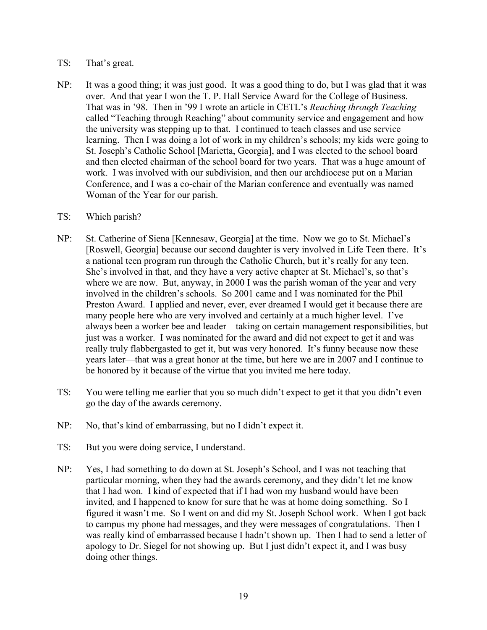#### TS: That's great.

NP: It was a good thing; it was just good. It was a good thing to do, but I was glad that it was over. And that year I won the T. P. Hall Service Award for the College of Business. That was in '98. Then in '99 I wrote an article in CETL's *Reaching through Teaching* called "Teaching through Reaching" about community service and engagement and how the university was stepping up to that. I continued to teach classes and use service learning. Then I was doing a lot of work in my children's schools; my kids were going to St. Joseph's Catholic School [Marietta, Georgia], and I was elected to the school board and then elected chairman of the school board for two years. That was a huge amount of work. I was involved with our subdivision, and then our archdiocese put on a Marian Conference, and I was a co-chair of the Marian conference and eventually was named Woman of the Year for our parish.

#### TS: Which parish?

- NP: St. Catherine of Siena [Kennesaw, Georgia] at the time. Now we go to St. Michael's [Roswell, Georgia] because our second daughter is very involved in Life Teen there. It's a national teen program run through the Catholic Church, but it's really for any teen. She's involved in that, and they have a very active chapter at St. Michael's, so that's where we are now. But, anyway, in 2000 I was the parish woman of the year and very involved in the children's schools. So 2001 came and I was nominated for the Phil Preston Award. I applied and never, ever, ever dreamed I would get it because there are many people here who are very involved and certainly at a much higher level. I've always been a worker bee and leader—taking on certain management responsibilities, but just was a worker. I was nominated for the award and did not expect to get it and was really truly flabbergasted to get it, but was very honored. It's funny because now these years later—that was a great honor at the time, but here we are in 2007 and I continue to be honored by it because of the virtue that you invited me here today.
- TS: You were telling me earlier that you so much didn't expect to get it that you didn't even go the day of the awards ceremony.
- NP: No, that's kind of embarrassing, but no I didn't expect it.
- TS: But you were doing service, I understand.
- NP: Yes, I had something to do down at St. Joseph's School, and I was not teaching that particular morning, when they had the awards ceremony, and they didn't let me know that I had won. I kind of expected that if I had won my husband would have been invited, and I happened to know for sure that he was at home doing something. So I figured it wasn't me. So I went on and did my St. Joseph School work. When I got back to campus my phone had messages, and they were messages of congratulations. Then I was really kind of embarrassed because I hadn't shown up. Then I had to send a letter of apology to Dr. Siegel for not showing up. But I just didn't expect it, and I was busy doing other things.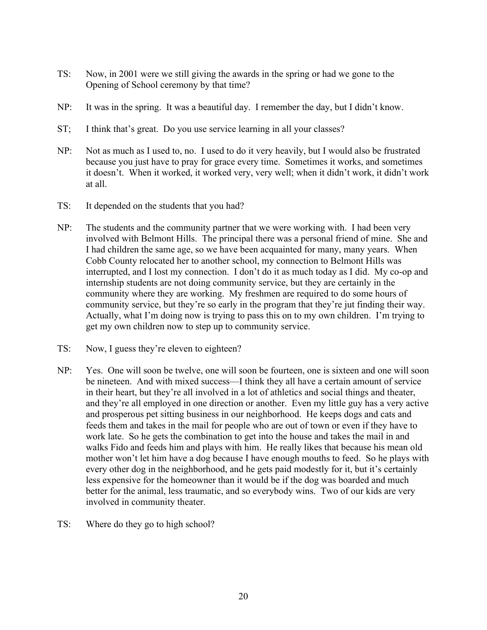- TS: Now, in 2001 were we still giving the awards in the spring or had we gone to the Opening of School ceremony by that time?
- NP: It was in the spring. It was a beautiful day. I remember the day, but I didn't know.
- ST; I think that's great. Do you use service learning in all your classes?
- NP: Not as much as I used to, no. I used to do it very heavily, but I would also be frustrated because you just have to pray for grace every time. Sometimes it works, and sometimes it doesn't. When it worked, it worked very, very well; when it didn't work, it didn't work at all.
- TS: It depended on the students that you had?
- NP: The students and the community partner that we were working with. I had been very involved with Belmont Hills. The principal there was a personal friend of mine. She and I had children the same age, so we have been acquainted for many, many years. When Cobb County relocated her to another school, my connection to Belmont Hills was interrupted, and I lost my connection. I don't do it as much today as I did. My co-op and internship students are not doing community service, but they are certainly in the community where they are working. My freshmen are required to do some hours of community service, but they're so early in the program that they're jut finding their way. Actually, what I'm doing now is trying to pass this on to my own children. I'm trying to get my own children now to step up to community service.
- TS: Now, I guess they're eleven to eighteen?
- NP: Yes. One will soon be twelve, one will soon be fourteen, one is sixteen and one will soon be nineteen. And with mixed success—I think they all have a certain amount of service in their heart, but they're all involved in a lot of athletics and social things and theater, and they're all employed in one direction or another. Even my little guy has a very active and prosperous pet sitting business in our neighborhood. He keeps dogs and cats and feeds them and takes in the mail for people who are out of town or even if they have to work late. So he gets the combination to get into the house and takes the mail in and walks Fido and feeds him and plays with him. He really likes that because his mean old mother won't let him have a dog because I have enough mouths to feed. So he plays with every other dog in the neighborhood, and he gets paid modestly for it, but it's certainly less expensive for the homeowner than it would be if the dog was boarded and much better for the animal, less traumatic, and so everybody wins. Two of our kids are very involved in community theater.
- TS: Where do they go to high school?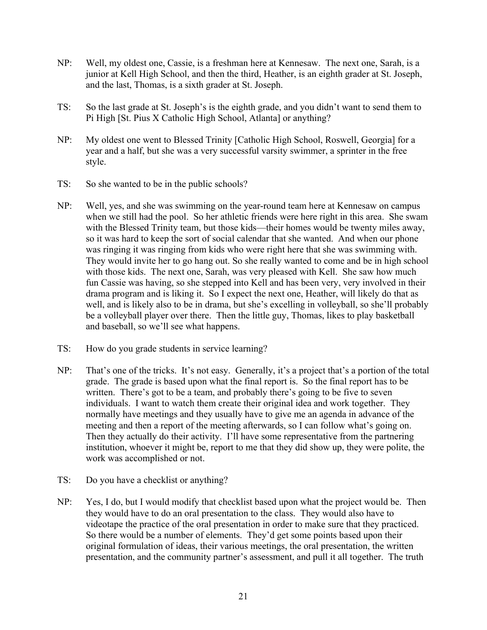- NP: Well, my oldest one, Cassie, is a freshman here at Kennesaw. The next one, Sarah, is a junior at Kell High School, and then the third, Heather, is an eighth grader at St. Joseph, and the last, Thomas, is a sixth grader at St. Joseph.
- TS: So the last grade at St. Joseph's is the eighth grade, and you didn't want to send them to Pi High [St. Pius X Catholic High School, Atlanta] or anything?
- NP: My oldest one went to Blessed Trinity [Catholic High School, Roswell, Georgia] for a year and a half, but she was a very successful varsity swimmer, a sprinter in the free style.
- TS: So she wanted to be in the public schools?
- NP: Well, yes, and she was swimming on the year-round team here at Kennesaw on campus when we still had the pool. So her athletic friends were here right in this area. She swam with the Blessed Trinity team, but those kids—their homes would be twenty miles away, so it was hard to keep the sort of social calendar that she wanted. And when our phone was ringing it was ringing from kids who were right here that she was swimming with. They would invite her to go hang out. So she really wanted to come and be in high school with those kids. The next one, Sarah, was very pleased with Kell. She saw how much fun Cassie was having, so she stepped into Kell and has been very, very involved in their drama program and is liking it. So I expect the next one, Heather, will likely do that as well, and is likely also to be in drama, but she's excelling in volleyball, so she'll probably be a volleyball player over there. Then the little guy, Thomas, likes to play basketball and baseball, so we'll see what happens.
- TS: How do you grade students in service learning?
- NP: That's one of the tricks. It's not easy. Generally, it's a project that's a portion of the total grade. The grade is based upon what the final report is. So the final report has to be written. There's got to be a team, and probably there's going to be five to seven individuals. I want to watch them create their original idea and work together. They normally have meetings and they usually have to give me an agenda in advance of the meeting and then a report of the meeting afterwards, so I can follow what's going on. Then they actually do their activity. I'll have some representative from the partnering institution, whoever it might be, report to me that they did show up, they were polite, the work was accomplished or not.
- TS: Do you have a checklist or anything?
- NP: Yes, I do, but I would modify that checklist based upon what the project would be. Then they would have to do an oral presentation to the class. They would also have to videotape the practice of the oral presentation in order to make sure that they practiced. So there would be a number of elements. They'd get some points based upon their original formulation of ideas, their various meetings, the oral presentation, the written presentation, and the community partner's assessment, and pull it all together. The truth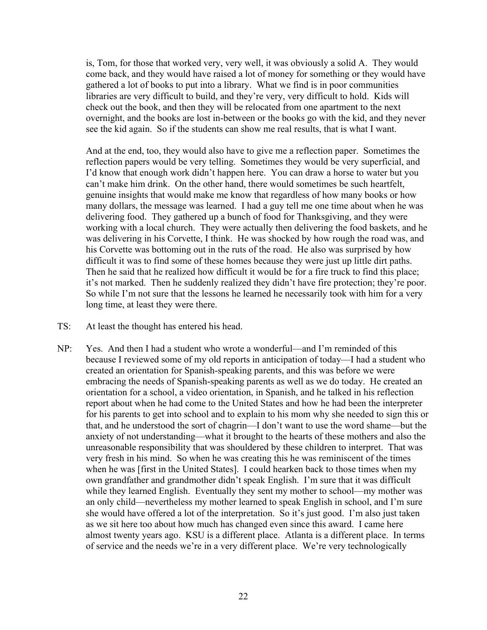is, Tom, for those that worked very, very well, it was obviously a solid A. They would come back, and they would have raised a lot of money for something or they would have gathered a lot of books to put into a library. What we find is in poor communities libraries are very difficult to build, and they're very, very difficult to hold. Kids will check out the book, and then they will be relocated from one apartment to the next overnight, and the books are lost in-between or the books go with the kid, and they never see the kid again. So if the students can show me real results, that is what I want.

And at the end, too, they would also have to give me a reflection paper. Sometimes the reflection papers would be very telling. Sometimes they would be very superficial, and I'd know that enough work didn't happen here. You can draw a horse to water but you can't make him drink. On the other hand, there would sometimes be such heartfelt, genuine insights that would make me know that regardless of how many books or how many dollars, the message was learned. I had a guy tell me one time about when he was delivering food. They gathered up a bunch of food for Thanksgiving, and they were working with a local church. They were actually then delivering the food baskets, and he was delivering in his Corvette, I think. He was shocked by how rough the road was, and his Corvette was bottoming out in the ruts of the road. He also was surprised by how difficult it was to find some of these homes because they were just up little dirt paths. Then he said that he realized how difficult it would be for a fire truck to find this place; it's not marked. Then he suddenly realized they didn't have fire protection; they're poor. So while I'm not sure that the lessons he learned he necessarily took with him for a very long time, at least they were there.

- TS: At least the thought has entered his head.
- NP: Yes. And then I had a student who wrote a wonderful—and I'm reminded of this because I reviewed some of my old reports in anticipation of today—I had a student who created an orientation for Spanish-speaking parents, and this was before we were embracing the needs of Spanish-speaking parents as well as we do today. He created an orientation for a school, a video orientation, in Spanish, and he talked in his reflection report about when he had come to the United States and how he had been the interpreter for his parents to get into school and to explain to his mom why she needed to sign this or that, and he understood the sort of chagrin—I don't want to use the word shame—but the anxiety of not understanding—what it brought to the hearts of these mothers and also the unreasonable responsibility that was shouldered by these children to interpret. That was very fresh in his mind. So when he was creating this he was reminiscent of the times when he was [first in the United States]. I could hearken back to those times when my own grandfather and grandmother didn't speak English. I'm sure that it was difficult while they learned English. Eventually they sent my mother to school—my mother was an only child—nevertheless my mother learned to speak English in school, and I'm sure she would have offered a lot of the interpretation. So it's just good. I'm also just taken as we sit here too about how much has changed even since this award. I came here almost twenty years ago. KSU is a different place. Atlanta is a different place. In terms of service and the needs we're in a very different place. We're very technologically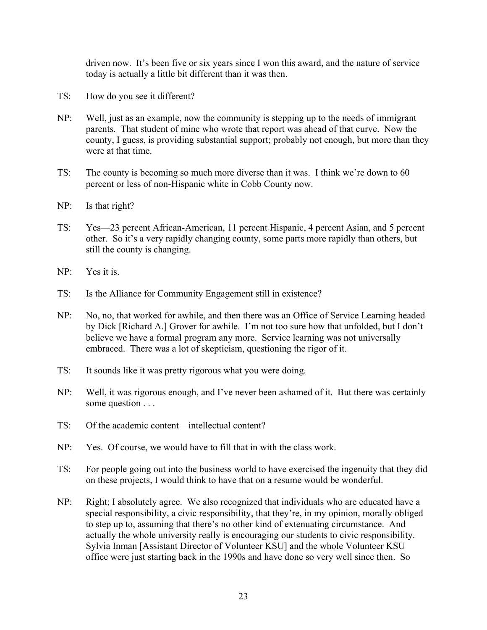driven now. It's been five or six years since I won this award, and the nature of service today is actually a little bit different than it was then.

- TS: How do you see it different?
- NP: Well, just as an example, now the community is stepping up to the needs of immigrant parents. That student of mine who wrote that report was ahead of that curve. Now the county, I guess, is providing substantial support; probably not enough, but more than they were at that time.
- TS: The county is becoming so much more diverse than it was. I think we're down to 60 percent or less of non-Hispanic white in Cobb County now.
- NP: Is that right?
- TS: Yes—23 percent African-American, 11 percent Hispanic, 4 percent Asian, and 5 percent other. So it's a very rapidly changing county, some parts more rapidly than others, but still the county is changing.
- NP: Yes it is.
- TS: Is the Alliance for Community Engagement still in existence?
- NP: No, no, that worked for awhile, and then there was an Office of Service Learning headed by Dick [Richard A.] Grover for awhile. I'm not too sure how that unfolded, but I don't believe we have a formal program any more. Service learning was not universally embraced. There was a lot of skepticism, questioning the rigor of it.
- TS: It sounds like it was pretty rigorous what you were doing.
- NP: Well, it was rigorous enough, and I've never been ashamed of it. But there was certainly some question . . .
- TS: Of the academic content—intellectual content?
- NP: Yes. Of course, we would have to fill that in with the class work.
- TS: For people going out into the business world to have exercised the ingenuity that they did on these projects, I would think to have that on a resume would be wonderful.
- NP: Right; I absolutely agree. We also recognized that individuals who are educated have a special responsibility, a civic responsibility, that they're, in my opinion, morally obliged to step up to, assuming that there's no other kind of extenuating circumstance. And actually the whole university really is encouraging our students to civic responsibility. Sylvia Inman [Assistant Director of Volunteer KSU] and the whole Volunteer KSU office were just starting back in the 1990s and have done so very well since then. So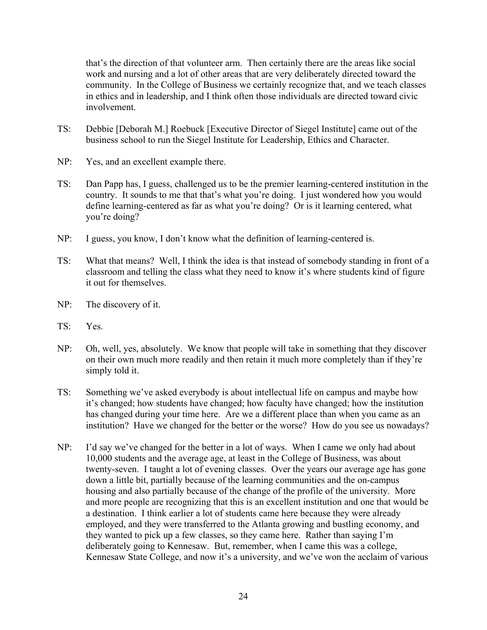that's the direction of that volunteer arm. Then certainly there are the areas like social work and nursing and a lot of other areas that are very deliberately directed toward the community. In the College of Business we certainly recognize that, and we teach classes in ethics and in leadership, and I think often those individuals are directed toward civic involvement.

- TS: Debbie [Deborah M.] Roebuck [Executive Director of Siegel Institute] came out of the business school to run the Siegel Institute for Leadership, Ethics and Character.
- NP: Yes, and an excellent example there.
- TS: Dan Papp has, I guess, challenged us to be the premier learning-centered institution in the country. It sounds to me that that's what you're doing. I just wondered how you would define learning-centered as far as what you're doing? Or is it learning centered, what you're doing?
- NP: I guess, you know, I don't know what the definition of learning-centered is.
- TS: What that means? Well, I think the idea is that instead of somebody standing in front of a classroom and telling the class what they need to know it's where students kind of figure it out for themselves.
- NP: The discovery of it.
- TS: Yes.
- NP: Oh, well, yes, absolutely. We know that people will take in something that they discover on their own much more readily and then retain it much more completely than if they're simply told it.
- TS: Something we've asked everybody is about intellectual life on campus and maybe how it's changed; how students have changed; how faculty have changed; how the institution has changed during your time here. Are we a different place than when you came as an institution? Have we changed for the better or the worse? How do you see us nowadays?
- NP: I'd say we've changed for the better in a lot of ways. When I came we only had about 10,000 students and the average age, at least in the College of Business, was about twenty-seven. I taught a lot of evening classes. Over the years our average age has gone down a little bit, partially because of the learning communities and the on-campus housing and also partially because of the change of the profile of the university. More and more people are recognizing that this is an excellent institution and one that would be a destination. I think earlier a lot of students came here because they were already employed, and they were transferred to the Atlanta growing and bustling economy, and they wanted to pick up a few classes, so they came here. Rather than saying I'm deliberately going to Kennesaw. But, remember, when I came this was a college, Kennesaw State College, and now it's a university, and we've won the acclaim of various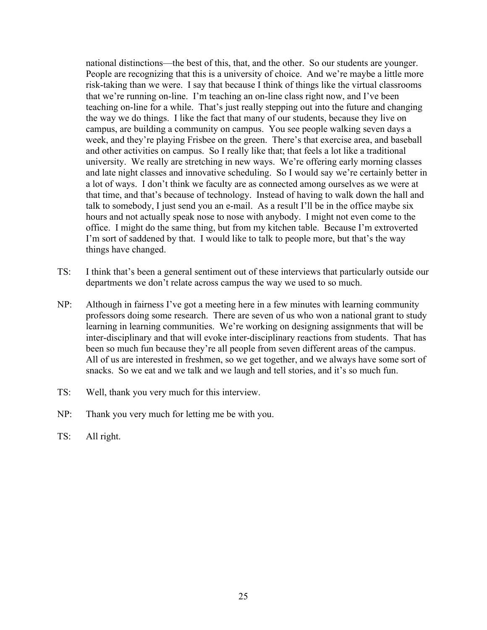national distinctions—the best of this, that, and the other. So our students are younger. People are recognizing that this is a university of choice. And we're maybe a little more risk-taking than we were. I say that because I think of things like the virtual classrooms that we're running on-line. I'm teaching an on-line class right now, and I've been teaching on-line for a while. That's just really stepping out into the future and changing the way we do things. I like the fact that many of our students, because they live on campus, are building a community on campus. You see people walking seven days a week, and they're playing Frisbee on the green. There's that exercise area, and baseball and other activities on campus. So I really like that; that feels a lot like a traditional university. We really are stretching in new ways. We're offering early morning classes and late night classes and innovative scheduling. So I would say we're certainly better in a lot of ways. I don't think we faculty are as connected among ourselves as we were at that time, and that's because of technology. Instead of having to walk down the hall and talk to somebody, I just send you an e-mail. As a result I'll be in the office maybe six hours and not actually speak nose to nose with anybody. I might not even come to the office. I might do the same thing, but from my kitchen table. Because I'm extroverted I'm sort of saddened by that. I would like to talk to people more, but that's the way things have changed.

- TS: I think that's been a general sentiment out of these interviews that particularly outside our departments we don't relate across campus the way we used to so much.
- NP: Although in fairness I've got a meeting here in a few minutes with learning community professors doing some research. There are seven of us who won a national grant to study learning in learning communities. We're working on designing assignments that will be inter-disciplinary and that will evoke inter-disciplinary reactions from students. That has been so much fun because they're all people from seven different areas of the campus. All of us are interested in freshmen, so we get together, and we always have some sort of snacks. So we eat and we talk and we laugh and tell stories, and it's so much fun.
- TS: Well, thank you very much for this interview.
- NP: Thank you very much for letting me be with you.
- TS: All right.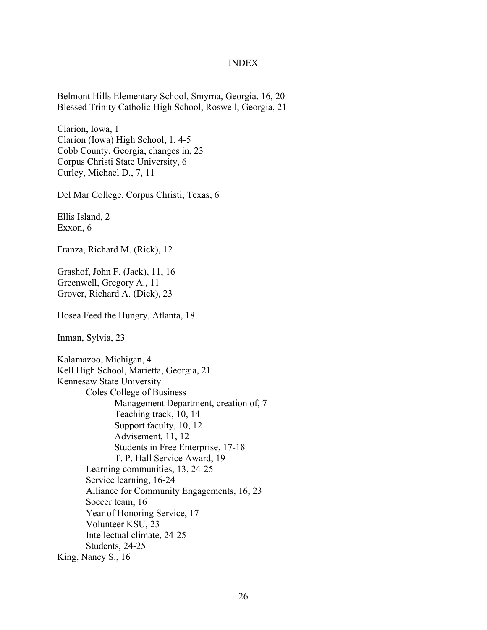#### INDEX

Belmont Hills Elementary School, Smyrna, Georgia, 16, 20 Blessed Trinity Catholic High School, Roswell, Georgia, 21

Clarion, Iowa, 1 Clarion (Iowa) High School, 1, 4-5 Cobb County, Georgia, changes in, 23 Corpus Christi State University, 6 Curley, Michael D., 7, 11

Del Mar College, Corpus Christi, Texas, 6

Ellis Island, 2 Exxon, 6

Franza, Richard M. (Rick), 12

Grashof, John F. (Jack), 11, 16 Greenwell, Gregory A., 11 Grover, Richard A. (Dick), 23

Hosea Feed the Hungry, Atlanta, 18

Inman, Sylvia, 23

Kalamazoo, Michigan, 4 Kell High School, Marietta, Georgia, 21 Kennesaw State University Coles College of Business Management Department, creation of, 7 Teaching track, 10, 14 Support faculty, 10, 12 Advisement, 11, 12 Students in Free Enterprise, 17-18 T. P. Hall Service Award, 19 Learning communities, 13, 24-25 Service learning, 16-24 Alliance for Community Engagements, 16, 23 Soccer team, 16 Year of Honoring Service, 17 Volunteer KSU, 23 Intellectual climate, 24-25 Students, 24-25 King, Nancy S., 16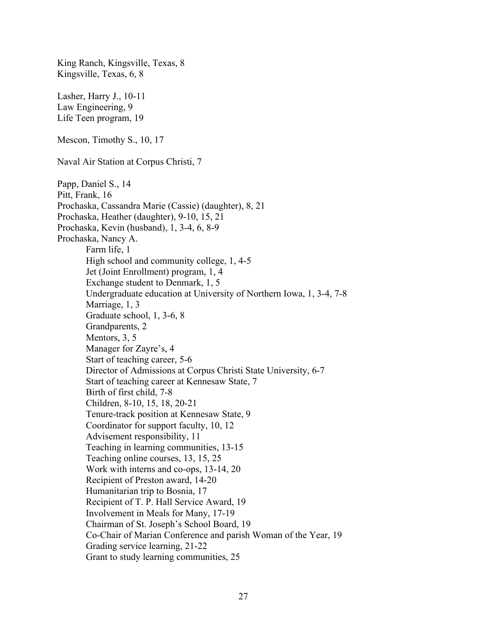King Ranch, Kingsville, Texas, 8 Kingsville, Texas, 6, 8 Lasher, Harry J., 10-11 Law Engineering, 9 Life Teen program, 19 Mescon, Timothy S., 10, 17 Naval Air Station at Corpus Christi, 7 Papp, Daniel S., 14 Pitt, Frank, 16 Prochaska, Cassandra Marie (Cassie) (daughter), 8, 21 Prochaska, Heather (daughter), 9-10, 15, 21 Prochaska, Kevin (husband), 1, 3-4, 6, 8-9 Prochaska, Nancy A. Farm life, 1 High school and community college, 1, 4-5 Jet (Joint Enrollment) program, 1, 4 Exchange student to Denmark, 1, 5 Undergraduate education at University of Northern Iowa, 1, 3-4, 7-8 Marriage, 1, 3 Graduate school, 1, 3-6, 8 Grandparents, 2 Mentors, 3, 5 Manager for Zayre's, 4 Start of teaching career, 5-6 Director of Admissions at Corpus Christi State University, 6-7 Start of teaching career at Kennesaw State, 7 Birth of first child, 7-8 Children, 8-10, 15, 18, 20-21 Tenure-track position at Kennesaw State, 9 Coordinator for support faculty, 10, 12 Advisement responsibility, 11 Teaching in learning communities, 13-15 Teaching online courses, 13, 15, 25 Work with interns and co-ops, 13-14, 20 Recipient of Preston award, 14-20 Humanitarian trip to Bosnia, 17 Recipient of T. P. Hall Service Award, 19 Involvement in Meals for Many, 17-19 Chairman of St. Joseph's School Board, 19 Co-Chair of Marian Conference and parish Woman of the Year, 19 Grading service learning, 21-22 Grant to study learning communities, 25